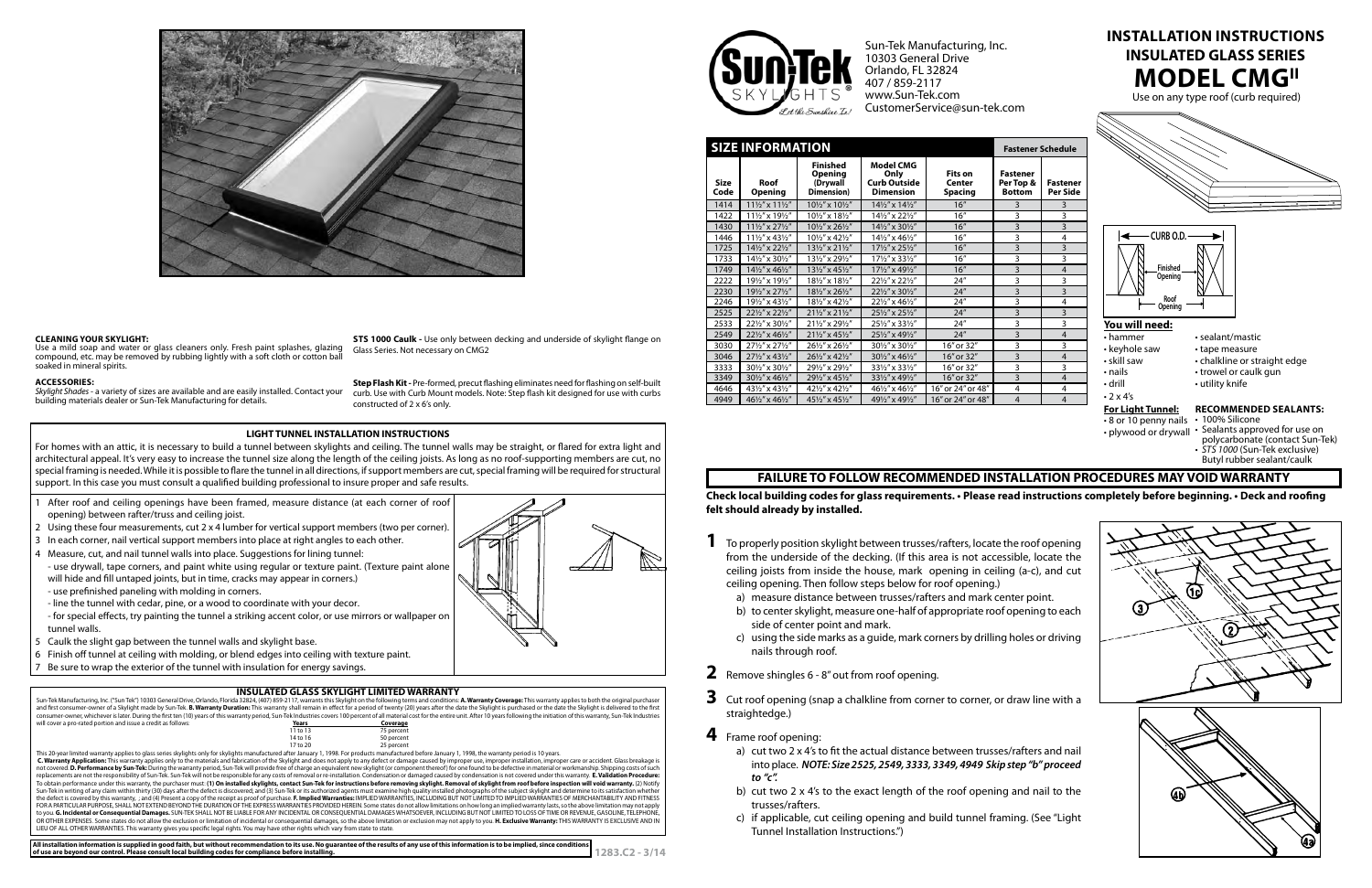# **MODEL CMGII Install ation Instruc tions INSULATED GLASS SERIES**

Use on any type roof (curb required)



- sealant/mastic
- tape measure
- chalkline or straight edge
- trowel or caulk gun
- utility knife
- 

**Check local building codes for glass requirements. • Please read instructions completely before beginning. • Deck and roofing felt should already by installed.** 

not covered. **D. Performance by Sun-Tek:** During the warranty period, Sun-Tek will provide free of charge an equivalent new skylight (or component thereof) for one found to be defective in material or workmanship. Shipping To obtain performance under this warranty, the purchaser must: (**1) On installed skylights, contact Sun-Tek for instructions before removing skylight. Removal of skylight from roof before inspection will void warranty. (2)** to you. **G. Incidental or Consequential Damages.** SUN-TEK SHALL NOT BE LIABLE FOR ANY INCIDENTAL OR CONSEQUENTIAL DAMAGES WHATSOEVER, INCLUDING BUT NOT LIMITED TO LOSS OF TIME OR REVENUE, GASOLINE, TELEPHONE, OR OTHER EXPENSES. Some states do not allow the exclusion or limitation of incidental or consequential damages, so the above limitation or exclusion may not apply to you. **H. Exclusive Warranty:** THIS WARRANTY IS EXCLUSIVE LIEU OF ALL OTHER WARRANTIES. This warranty gives you specific legal rights. You may have other rights which vary from state to state.



| <b>SIZE INFORMATION</b> |                                        |                                                             |                                                                     |                                            | <b>Fastener Schedule</b>                      |                             |                                                                                              |
|-------------------------|----------------------------------------|-------------------------------------------------------------|---------------------------------------------------------------------|--------------------------------------------|-----------------------------------------------|-----------------------------|----------------------------------------------------------------------------------------------|
| <b>Size</b><br>Code     | Roof<br><b>Opening</b>                 | <b>Finished</b><br><b>Opening</b><br>(Drywall<br>Dimension) | <b>Model CMG</b><br>Only<br><b>Curb Outside</b><br><b>Dimension</b> | <b>Fits on</b><br>Center<br><b>Spacing</b> | <b>Fastener</b><br>Per Top &<br><b>Bottom</b> | <b>Fastener</b><br>Per Side |                                                                                              |
| 1414                    | 111/2" x 111/2"                        | 101/2" x 101/2"                                             | 141/2" x 141/2"                                                     | 16"                                        | 3                                             | 3                           | CURB O.D.                                                                                    |
| 1422                    | 111/2" x 191/2"                        | 101/2" x 181/2"                                             | 141/2" x 221/2"                                                     | 16''                                       | 3                                             | 3                           |                                                                                              |
| 1430                    | 111/2" x 271/2"                        | 101/2" x 261/2"                                             | 141/2" x 301/2"                                                     | 16''                                       | 3                                             | 3                           |                                                                                              |
| 1446                    | $11\frac{1}{2}$ " x 43 $\frac{1}{2}$ " | 101/2" x 421/2"                                             | 141/2" x 461/2"                                                     | 16''                                       | 3                                             | 4                           |                                                                                              |
| 1725                    | 141/2" x 221/2"                        | 131/2" x 211/2"                                             | 171/2" x 251/2"                                                     | 16''                                       | $\overline{3}$                                | $\overline{3}$              |                                                                                              |
| 1733                    | 141/2" x 301/2"                        | 131/2" x 291/2"                                             | 171/2" x 331/2"                                                     | 16''                                       | 3                                             | 3                           |                                                                                              |
| 1749                    | 141/2" x 461/2"                        | 131/2" x 451/2"                                             | 171/2" x 491/2"                                                     | 16"                                        | $\overline{3}$                                | $\overline{4}$              | <b>Finished</b>                                                                              |
| 2222                    | 191/2" x 191/2"                        | 181/2" x 181/2"                                             | 221/2" x 221/2"                                                     | 24''                                       | 3                                             | 3                           | Opening                                                                                      |
| 2230                    | 191/2" x 271/2"                        | 181/2" x 261/2"                                             | 221/2" x 301/2"                                                     | 24''                                       | 3                                             | 3                           |                                                                                              |
| 2246                    | 191/2" x 431/2"                        | 181/2" x 421/2"                                             | 221/2" x 461/2"                                                     | 24''                                       | 3                                             | 4                           | Roof<br>Opening                                                                              |
| 2525                    | 221/2" x 221/2"                        | 211/2" x 211/2"                                             | 251/2" x 251/2"                                                     | 24''                                       | 3                                             | $\overline{3}$              |                                                                                              |
| 2533                    | 221/2" x 301/2"                        | 211/2" x 291/2"                                             | 251/2" x 331/2"                                                     | 24''                                       | 3                                             | 3                           | You will need:<br>$\cdot$ hammer<br>• keyhole saw<br>• skill saw<br>• nails<br>$\cdot$ drill |
| 2549                    | 221/2" x 461/2"                        | 211/2" x 451/2"                                             | 251/2" x 491/2"                                                     | 24''                                       | 3                                             | $\overline{4}$              |                                                                                              |
| 3030                    | 271/2" x 271/2"                        | 261/2" x 261/2"                                             | 301/2" x 301/2"                                                     | 16" or 32"                                 | 3                                             | 3                           |                                                                                              |
| 3046                    | 271/2" x 431/2"                        | 261/2" x 421/2"                                             | 301/2" x 461/2"                                                     | 16" or 32"                                 | 3                                             | $\overline{4}$              |                                                                                              |
| 3333                    | 301/2" x 301/2"                        | 291/2" x 291/2"                                             | 331/2" x 331/2"                                                     | 16" or 32"                                 | 3                                             | 3                           |                                                                                              |
| 3349                    | 301/2" x 461/2"                        | 291/2" x 451/2"                                             | 331/2" x 491/2"                                                     | 16" or 32"                                 | 3                                             | $\overline{4}$              |                                                                                              |
| 4646                    | 431/2" x 431/2"                        | 421/2" x 421/2"                                             | 461/2" x 461/2"                                                     | 16" or 24" or 48"                          | $\overline{4}$                                | 4                           |                                                                                              |
| 4949                    | 461/2" x 461/2"                        | 451/2" x 451/2"                                             | 491/2" x 491/2"                                                     | 16" or 24" or 48"                          | $\overline{4}$                                | $\overline{4}$              | $\cdot$ 2 x 4's                                                                              |

- 8 or 10 penny nails 100% Silicone
- plywood or drywall Sealants approved for use on polycarbonate (contact Sun-Tek)
	- $\cdot$  STS 1000 (Sun-Tek exclusive) Butyl rubber sealant/caulk



**STS 1000 Caulk -** Use only between decking and underside of skylight flange on Glass Series. Not necessary on CMG2

Skylight Shades - a variety of sizes are available and are easily installed. Contact your building materials dealer or Sun-Tek Manufacturing for details.

- 1 After roof and ceiling openings have been framed, measure distance (at each corner of roof opening) between rafter/truss and ceiling joist.
- 2 Using these four measurements, cut 2 x 4 lumber for vertical support members (two per corner).
- 3 In each corner, nail vertical support members into place at right angles to each other.
- 4 Measure, cut, and nail tunnel walls into place. Suggestions for lining tunnel:
- use drywall, tape corners, and paint white using regular or texture paint. (Texture paint alone will hide and fill untaped joints, but in time, cracks may appear in corners.)
- use prefinished paneling with molding in corners.
- line the tunnel with cedar, pine, or a wood to coordinate with your decor.
- for special effects, try painting the tunnel a striking accent color, or use mirrors or wallpaper on tunnel walls.
- 5 Caulk the slight gap between the tunnel walls and skylight base.
- 6 Finish off tunnel at ceiling with molding, or blend edges into ceiling with texture paint.
- Be sure to wrap the exterior of the tunnel with insulation for energy savings.

## **INSULATED GLASS SKYLIGHT LIMITED WARRANTY**

Sun-Tek Manufacturing, Inc. ("Sun Tek") 10303 General Drive, Orlando, Florida 32824, (407) 859-2117, warrants this Skylight on the following terms and conditions: **A. Warranty Coverage:** This warranty applies to both the o consumer-owner, whichever is later. During the first ten (10) years of this warranty period, Sun-Tek Industries covers 100 percent of all material cost for the entire unit. After 10 years following the initiation of this w will cover a pro-rated portion and issue a credit as follows: **Years Years Years Coverage**<br>11 to 13 75 percent 11 to 13 75 percent<br>14 to 16 50 percent 14 to 16 50 percent<br>17 to 20 25 percent 25 percent 25 percent 25 percent 25 percent 25 percent 25 percent 25 percent 25 percent 25 percent 25 percent<br>1998, This warranty period is 10 years. This warranty applies only to the materials and fabrication of the Skyli





Sun-Tek Manufacturing, Inc. 10303 General Drive Orlando, FL 32824 407 / 859-2117 www.Sun-Tek.com CustomerService@sun-tek.com

# **Recommended Sealants:**

# **FAILURE TO FOLLOW RECOMMENDED INSTALLATION PROCEDURES MAY VOID WARRANT Y**

- **1** To properly position skylight between trusses/rafters, locate the roof opening from the underside of the decking. (If this area is not accessible, locate the ceiling joists from inside the house, mark opening in ceiling (a-c), and cut ceiling opening. Then follow steps below for roof opening.)
	- a) measure distance between trusses/rafters and mark center point.
	- b) to center skylight, measure one-half of appropriate roof opening to each side of center point and mark.
	- c) using the side marks as a guide, mark corners by drilling holes or driving nails through roof.
- **2** Remove shingles 6 8" out from roof opening.
- **3** Cut roof opening (snap a chalkline from corner to corner, or draw line with a straightedge.)
- **4** Frame roof opening:
	- a) cut two 2 x 4's to fit the actual distance between trusses/rafters and nail into place. *NOTE: Size 2525, 2549, 3333, 3349, 4949 Skip step "b" proceed to "c".*
	- b) cut two 2 x 4's to the exact length of the roof opening and nail to the trusses/rafters.
	- c) if applicable, cut ceiling opening and build tunnel framing. (See "Light Tunnel Installation Instructions.")



## **Cleaning Your Skyl igh t:**

Use a mild soap and water or glass cleaners only. Fresh paint splashes, glazing compound, etc. may be removed by rubbing lightly with a soft cloth or cotton ba soaked in mineral spirits.

#### **Acc ess ories:**

**Step Flash Kit -** Pre-formed, precut flashing eliminates need for flashing on self-built curb. Use with Curb Mount models. Note: Step flash kit designed for use with curbs constructed of 2 x 6's only.

## **LIGHT TUNNEL INSTALLATION INSTRUCTIONS**

For homes with an attic, it is necessary to build a tunnel between skylights and ceiling. The tunnel walls may be straight, or flared for extra light and architectural appeal. It's very easy to increase the tunnel size along the length of the ceiling joists. As long as no roof-supporting members are cut, no special framing is needed. While it is possible to flare the tunnel in all directions, if support members are cut, special framing will be required for structural support. In this case you must consult a qualified building professional to insure proper and safe results.